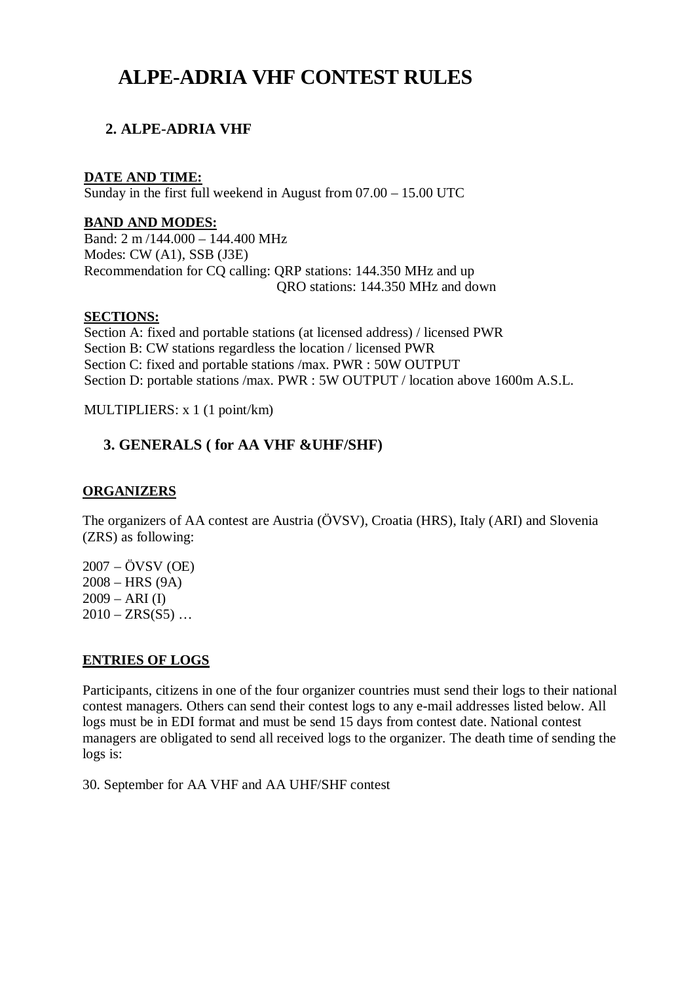# **ALPE-ADRIA VHF CONTEST RULES**

## **2. ALPE-ADRIA VHF**

## **DATE AND TIME:**

Sunday in the first full weekend in August from 07.00 – 15.00 UTC

## **BAND AND MODES:**

Band: 2 m /144.000 – 144.400 MHz Modes: CW (A1), SSB (J3E) Recommendation for CQ calling: QRP stations: 144.350 MHz and up QRO stations: 144.350 MHz and down

## **SECTIONS:**

Section A: fixed and portable stations (at licensed address) / licensed PWR Section B: CW stations regardless the location / licensed PWR Section C: fixed and portable stations /max. PWR : 50W OUTPUT Section D: portable stations /max. PWR : 5W OUTPUT / location above 1600m A.S.L.

MULTIPLIERS: x 1 (1 point/km)

## **3. GENERALS ( for AA VHF &UHF/SHF)**

## **ORGANIZERS**

The organizers of AA contest are Austria (ÖVSV), Croatia (HRS), Italy (ARI) and Slovenia (ZRS) as following:

2007 – ÖVSV (OE) 2008 – HRS (9A)  $2009 - ARI (I)$  $2010 - ZRS(S5)$  ...

## **ENTRIES OF LOGS**

Participants, citizens in one of the four organizer countries must send their logs to their national contest managers. Others can send their contest logs to any e-mail addresses listed below. All logs must be in EDI format and must be send 15 days from contest date. National contest managers are obligated to send all received logs to the organizer. The death time of sending the logs is:

30. September for AA VHF and AA UHF/SHF contest